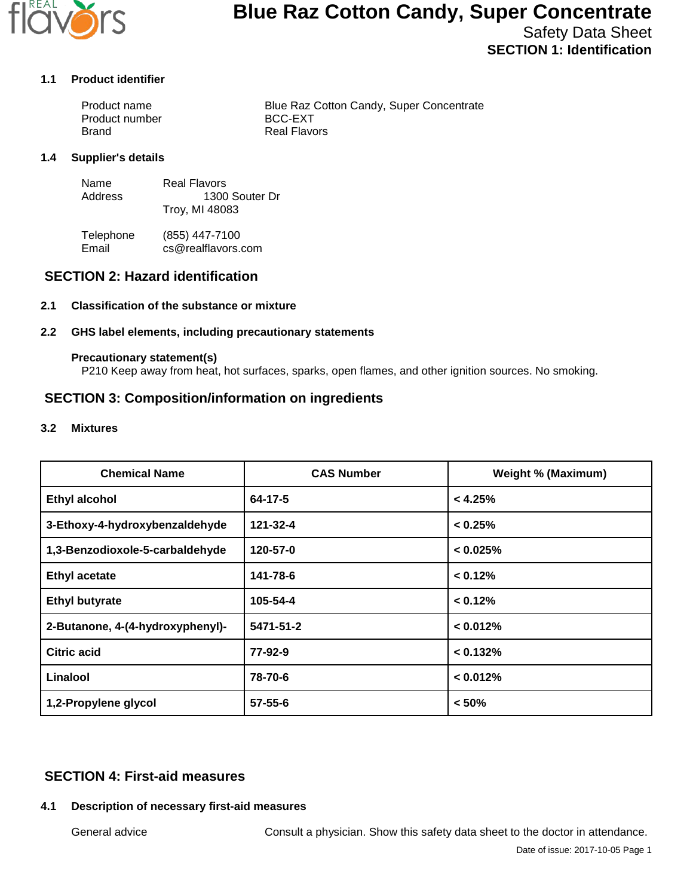

# **Blue Raz Cotton Candy, Super Concentrate**

Safety Data Sheet **SECTION 1: Identification**

#### **1.1 Product identifier**

| Product name   | Blue Raz Cotton Candy, Super Concentrate |
|----------------|------------------------------------------|
| Product number | BCC-EXT                                  |
| Brand          | Real Flavors                             |

#### **1.4 Supplier's details**

| Name    | Real Flavors   |
|---------|----------------|
| Address | 1300 Souter Dr |
|         | Troy, MI 48083 |

Telephone (855) 447-7100<br>Email cs@realflavors. cs@realflavors.com

## **SECTION 2: Hazard identification**

## **2.1 Classification of the substance or mixture**

### **2.2 GHS label elements, including precautionary statements**

#### **Precautionary statement(s)**

P210 Keep away from heat, hot surfaces, sparks, open flames, and other ignition sources. No smoking.

## **SECTION 3: Composition/information on ingredients**

#### **3.2 Mixtures**

| <b>Chemical Name</b>             | <b>CAS Number</b> | <b>Weight % (Maximum)</b> |
|----------------------------------|-------------------|---------------------------|
| <b>Ethyl alcohol</b>             | 64-17-5           | < 4.25%                   |
| 3-Ethoxy-4-hydroxybenzaldehyde   | 121-32-4          | < 0.25%                   |
| 1,3-Benzodioxole-5-carbaldehyde  | 120-57-0          | < 0.025%                  |
| <b>Ethyl acetate</b>             | 141-78-6          | < 0.12%                   |
| <b>Ethyl butyrate</b>            | 105-54-4          | < 0.12%                   |
| 2-Butanone, 4-(4-hydroxyphenyl)- | 5471-51-2         | < 0.012%                  |
| Citric acid                      | 77-92-9           | < 0.132%                  |
| Linalool                         | 78-70-6           | < 0.012%                  |
| 1,2-Propylene glycol             | $57 - 55 - 6$     | < 50%                     |

## **SECTION 4: First-aid measures**

## **4.1 Description of necessary first-aid measures**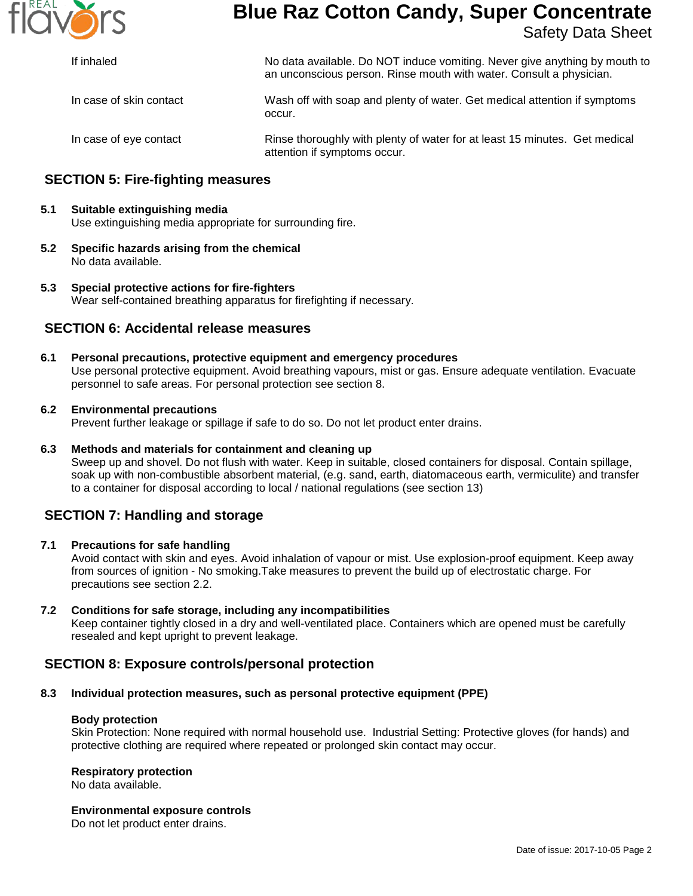

## **Blue Raz Cotton Candy, Super Concentrate** Safety Data Sheet

| If inhaled              | No data available. Do NOT induce vomiting. Never give anything by mouth to<br>an unconscious person. Rinse mouth with water. Consult a physician. |  |
|-------------------------|---------------------------------------------------------------------------------------------------------------------------------------------------|--|
| In case of skin contact | Wash off with soap and plenty of water. Get medical attention if symptoms<br>occur.                                                               |  |
| In case of eye contact  | Rinse thoroughly with plenty of water for at least 15 minutes. Get medical                                                                        |  |

attention if symptoms occur.

## **SECTION 5: Fire-fighting measures**

## **5.1 Suitable extinguishing media** Use extinguishing media appropriate for surrounding fire.

- **5.2 Specific hazards arising from the chemical** No data available.
- **5.3 Special protective actions for fire-fighters** Wear self-contained breathing apparatus for firefighting if necessary.

## **SECTION 6: Accidental release measures**

**6.1 Personal precautions, protective equipment and emergency procedures** Use personal protective equipment. Avoid breathing vapours, mist or gas. Ensure adequate ventilation. Evacuate personnel to safe areas. For personal protection see section 8.

#### **6.2 Environmental precautions**

Prevent further leakage or spillage if safe to do so. Do not let product enter drains.

#### **6.3 Methods and materials for containment and cleaning up**

Sweep up and shovel. Do not flush with water. Keep in suitable, closed containers for disposal. Contain spillage, soak up with non-combustible absorbent material, (e.g. sand, earth, diatomaceous earth, vermiculite) and transfer to a container for disposal according to local / national regulations (see section 13)

## **SECTION 7: Handling and storage**

## **7.1 Precautions for safe handling**

Avoid contact with skin and eyes. Avoid inhalation of vapour or mist. Use explosion-proof equipment. Keep away from sources of ignition - No smoking.Take measures to prevent the build up of electrostatic charge. For precautions see section 2.2.

## **7.2 Conditions for safe storage, including any incompatibilities**

Keep container tightly closed in a dry and well-ventilated place. Containers which are opened must be carefully resealed and kept upright to prevent leakage.

## **SECTION 8: Exposure controls/personal protection**

## **8.3 Individual protection measures, such as personal protective equipment (PPE)**

#### **Body protection**

Skin Protection: None required with normal household use. Industrial Setting: Protective gloves (for hands) and protective clothing are required where repeated or prolonged skin contact may occur.

#### **Respiratory protection**

No data available.

#### **Environmental exposure controls**

Do not let product enter drains.